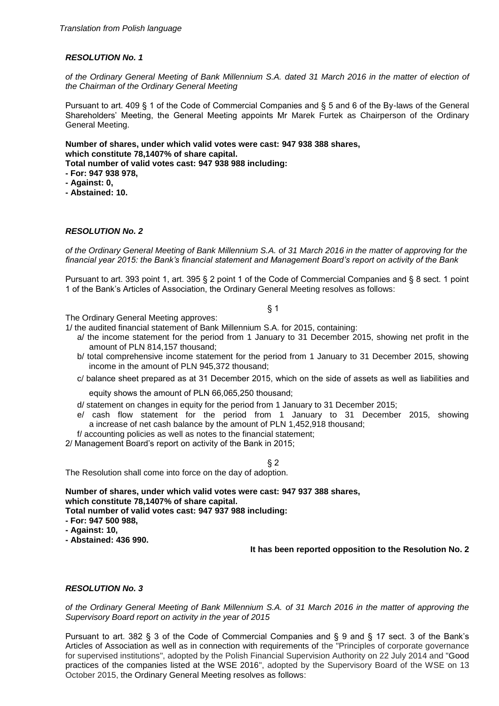*of the Ordinary General Meeting of Bank Millennium S.A. dated 31 March 2016 in the matter of election of the Chairman of the Ordinary General Meeting*

Pursuant to art. 409 § 1 of the Code of Commercial Companies and § 5 and 6 of the By-laws of the General Shareholders' Meeting, the General Meeting appoints Mr Marek Furtek as Chairperson of the Ordinary General Meeting.

**Number of shares, under which valid votes were cast: 947 938 388 shares, which constitute 78,1407% of share capital.**

**Total number of valid votes cast: 947 938 988 including:**

**- For: 947 938 978,**

- **- Against: 0,**
- **- Abstained: 10.**

### *RESOLUTION No. 2*

*of the Ordinary General Meeting of Bank Millennium S.A. of 31 March 2016 in the matter of approving for the financial year 2015: the Bank's financial statement and Management Board's report on activity of the Bank* 

Pursuant to art. 393 point 1, art. 395 § 2 point 1 of the Code of Commercial Companies and § 8 sect. 1 point 1 of the Bank's Articles of Association, the Ordinary General Meeting resolves as follows:

§ 1

The Ordinary General Meeting approves:

1/ the audited financial statement of Bank Millennium S.A. for 2015, containing:

- a/ the income statement for the period from 1 January to 31 December 2015, showing net profit in the amount of PLN 814,157 thousand;
- b/ total comprehensive income statement for the period from 1 January to 31 December 2015, showing income in the amount of PLN 945,372 thousand;
- c/ balance sheet prepared as at 31 December 2015, which on the side of assets as well as liabilities and

equity shows the amount of PLN 66,065,250 thousand;

- d/ statement on changes in equity for the period from 1 January to 31 December 2015;
- e/ cash flow statement for the period from 1 January to 31 December 2015, showing a increase of net cash balance by the amount of PLN 1,452,918 thousand;
- f/ accounting policies as well as notes to the financial statement;

2/ Management Board's report on activity of the Bank in 2015;

§ 2

The Resolution shall come into force on the day of adoption.

**Number of shares, under which valid votes were cast: 947 937 388 shares, which constitute 78,1407% of share capital.**

**Total number of valid votes cast: 947 937 988 including:**

- **- For: 947 500 988,**
- **- Against: 10,**
- **- Abstained: 436 990.**

**It has been reported opposition to the Resolution No. 2**

## *RESOLUTION No. 3*

*of the Ordinary General Meeting of Bank Millennium S.A. of 31 March 2016 in the matter of approving the Supervisory Board report on activity in the year of 2015*

Pursuant to art. 382 § 3 of the Code of Commercial Companies and § 9 and § 17 sect. 3 of the Bank's Articles of Association as well as in connection with requirements of the "Principles of corporate governance for supervised institutions", adopted by the Polish Financial Supervision Authority on 22 July 2014 and "Good practices of the companies listed at the WSE 2016", adopted by the Supervisory Board of the WSE on 13 October 2015, the Ordinary General Meeting resolves as follows: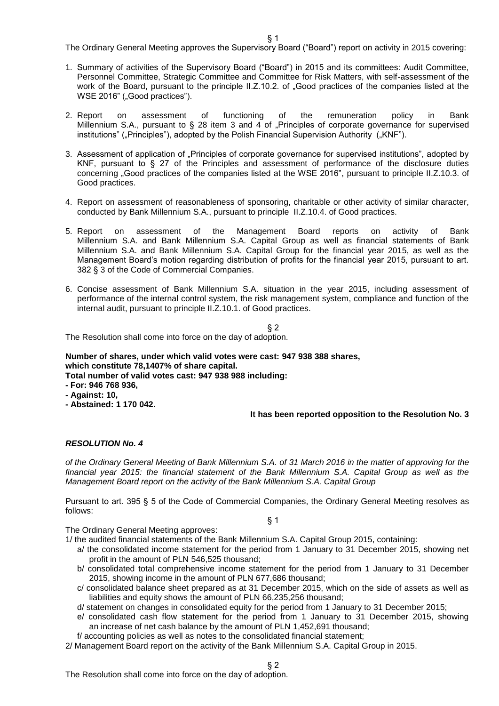The Ordinary General Meeting approves the Supervisory Board ("Board") report on activity in 2015 covering:

- 1. Summary of activities of the Supervisory Board ("Board") in 2015 and its committees: Audit Committee, Personnel Committee, Strategic Committee and Committee for Risk Matters, with self-assessment of the work of the Board, pursuant to the principle II.Z.10.2. of "Good practices of the companies listed at the WSE 2016" ("Good practices").
- 2. Report on assessment of functioning of the remuneration policy in Bank Millennium S.A., pursuant to § 28 item 3 and 4 of "Principles of corporate governance for supervised institutions" ("Principles"), adopted by the Polish Financial Supervision Authority ("KNF").
- 3. Assessment of application of "Principles of corporate governance for supervised institutions", adopted by KNF, pursuant to § 27 of the Principles and assessment of performance of the disclosure duties concerning "Good practices of the companies listed at the WSE 2016", pursuant to principle II.Z.10.3. of Good practices.
- 4. Report on assessment of reasonableness of sponsoring, charitable or other activity of similar character, conducted by Bank Millennium S.A., pursuant to principle II.Z.10.4. of Good practices.
- 5. Report on assessment of the Management Board reports on activity of Bank Millennium S.A. and Bank Millennium S.A. Capital Group as well as financial statements of Bank Millennium S.A. and Bank Millennium S.A. Capital Group for the financial year 2015, as well as the Management Board's motion regarding distribution of profits for the financial year 2015, pursuant to art. 382 § 3 of the Code of Commercial Companies.
- 6. Concise assessment of Bank Millennium S.A. situation in the year 2015, including assessment of performance of the internal control system, the risk management system, compliance and function of the internal audit, pursuant to principle II.Z.10.1. of Good practices.

§ 2

The Resolution shall come into force on the day of adoption.

**Number of shares, under which valid votes were cast: 947 938 388 shares, which constitute 78,1407% of share capital.**

**Total number of valid votes cast: 947 938 988 including:**

- **- For: 946 768 936,**
- **- Against: 10,**
- **- Abstained: 1 170 042.**

## **It has been reported opposition to the Resolution No. 3**

### *RESOLUTION No. 4*

*of the Ordinary General Meeting of Bank Millennium S.A. of 31 March 2016 in the matter of approving for the financial year 2015: the financial statement of the Bank Millennium S.A. Capital Group as well as the Management Board report on the activity of the Bank Millennium S.A. Capital Group*

Pursuant to art. 395 § 5 of the Code of Commercial Companies, the Ordinary General Meeting resolves as follows:

§ 1

The Ordinary General Meeting approves:

1/ the audited financial statements of the Bank Millennium S.A. Capital Group 2015, containing:

- a/ the consolidated income statement for the period from 1 January to 31 December 2015, showing net profit in the amount of PLN 546,525 thousand;
- b/ consolidated total comprehensive income statement for the period from 1 January to 31 December 2015, showing income in the amount of PLN 677,686 thousand;
- c/ consolidated balance sheet prepared as at 31 December 2015, which on the side of assets as well as liabilities and equity shows the amount of PLN 66,235,256 thousand;
- d/ statement on changes in consolidated equity for the period from 1 January to 31 December 2015;
- e/ consolidated cash flow statement for the period from 1 January to 31 December 2015, showing an increase of net cash balance by the amount of PLN 1,452,691 thousand;
- f/ accounting policies as well as notes to the consolidated financial statement;
- 2/ Management Board report on the activity of the Bank Millennium S.A. Capital Group in 2015.

The Resolution shall come into force on the day of adoption.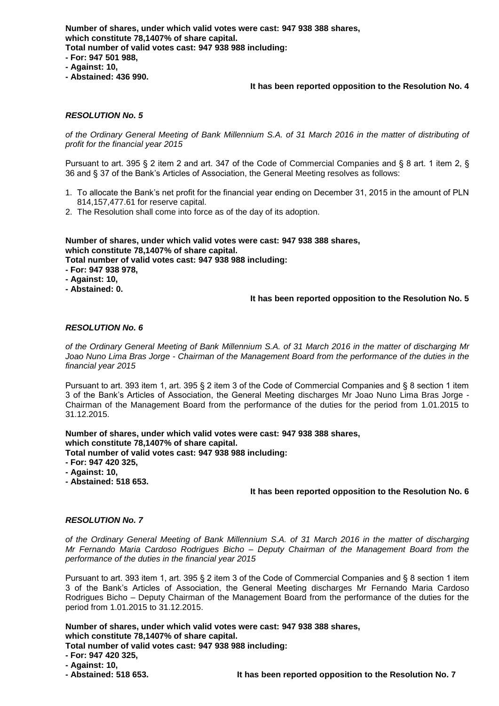**Number of shares, under which valid votes were cast: 947 938 388 shares, which constitute 78,1407% of share capital. Total number of valid votes cast: 947 938 988 including: - For: 947 501 988, - Against: 10,**

**- Abstained: 436 990.**

### **It has been reported opposition to the Resolution No. 4**

## *RESOLUTION No. 5*

*of the Ordinary General Meeting of Bank Millennium S.A. of 31 March 2016 in the matter of distributing of profit for the financial year 2015*

Pursuant to art. 395 § 2 item 2 and art. 347 of the Code of Commercial Companies and § 8 art. 1 item 2, § 36 and § 37 of the Bank's Articles of Association, the General Meeting resolves as follows:

- 1. To allocate the Bank's net profit for the financial year ending on December 31, 2015 in the amount of PLN 814,157,477.61 for reserve capital.
- 2. The Resolution shall come into force as of the day of its adoption.

**Number of shares, under which valid votes were cast: 947 938 388 shares, which constitute 78,1407% of share capital.**

**Total number of valid votes cast: 947 938 988 including:**

**- For: 947 938 978,**

- **- Against: 10,**
- **- Abstained: 0.**

### **It has been reported opposition to the Resolution No. 5**

### *RESOLUTION No. 6*

*of the Ordinary General Meeting of Bank Millennium S.A. of 31 March 2016 in the matter of discharging Mr Joao Nuno Lima Bras Jorge - Chairman of the Management Board from the performance of the duties in the financial year 2015*

Pursuant to art. 393 item 1, art. 395 § 2 item 3 of the Code of Commercial Companies and § 8 section 1 item 3 of the Bank's Articles of Association, the General Meeting discharges Mr Joao Nuno Lima Bras Jorge - Chairman of the Management Board from the performance of the duties for the period from 1.01.2015 to 31.12.2015.

**Number of shares, under which valid votes were cast: 947 938 388 shares, which constitute 78,1407% of share capital.**

**Total number of valid votes cast: 947 938 988 including:**

- **- For: 947 420 325,**
- **- Against: 10,**
- **- Abstained: 518 653.**

### **It has been reported opposition to the Resolution No. 6**

### *RESOLUTION No. 7*

*of the Ordinary General Meeting of Bank Millennium S.A. of 31 March 2016 in the matter of discharging Mr Fernando Maria Cardoso Rodrigues Bicho – Deputy Chairman of the Management Board from the performance of the duties in the financial year 2015*

Pursuant to art. 393 item 1, art. 395 § 2 item 3 of the Code of Commercial Companies and § 8 section 1 item 3 of the Bank's Articles of Association, the General Meeting discharges Mr Fernando Maria Cardoso Rodrigues Bicho – Deputy Chairman of the Management Board from the performance of the duties for the period from 1.01.2015 to 31.12.2015.

**Number of shares, under which valid votes were cast: 947 938 388 shares, which constitute 78,1407% of share capital.**

**Total number of valid votes cast: 947 938 988 including:**

**<sup>-</sup> For: 947 420 325,**

**<sup>-</sup> Against: 10,**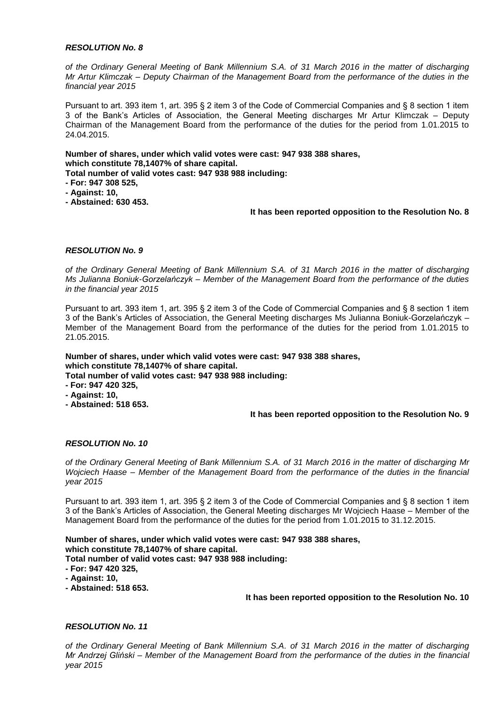*of the Ordinary General Meeting of Bank Millennium S.A. of 31 March 2016 in the matter of discharging Mr Artur Klimczak – Deputy Chairman of the Management Board from the performance of the duties in the financial year 2015*

Pursuant to art. 393 item 1, art. 395 § 2 item 3 of the Code of Commercial Companies and § 8 section 1 item 3 of the Bank's Articles of Association, the General Meeting discharges Mr Artur Klimczak – Deputy Chairman of the Management Board from the performance of the duties for the period from 1.01.2015 to 24.04.2015.

**Number of shares, under which valid votes were cast: 947 938 388 shares, which constitute 78,1407% of share capital.**

**Total number of valid votes cast: 947 938 988 including:**

- **- For: 947 308 525,**
- **- Against: 10,**
- **- Abstained: 630 453.**

## **It has been reported opposition to the Resolution No. 8**

## *RESOLUTION No. 9*

*of the Ordinary General Meeting of Bank Millennium S.A. of 31 March 2016 in the matter of discharging Ms Julianna Boniuk-Gorzelańczyk – Member of the Management Board from the performance of the duties in the financial year 2015*

Pursuant to art. 393 item 1, art. 395 § 2 item 3 of the Code of Commercial Companies and § 8 section 1 item 3 of the Bank's Articles of Association, the General Meeting discharges Ms Julianna Boniuk-Gorzelańczyk – Member of the Management Board from the performance of the duties for the period from 1.01.2015 to 21.05.2015.

**Number of shares, under which valid votes were cast: 947 938 388 shares, which constitute 78,1407% of share capital.**

**Total number of valid votes cast: 947 938 988 including:**

- **- For: 947 420 325, - Against: 10,**
- **- Abstained: 518 653.**

# **It has been reported opposition to the Resolution No. 9**

## *RESOLUTION No. 10*

*of the Ordinary General Meeting of Bank Millennium S.A. of 31 March 2016 in the matter of discharging Mr Wojciech Haase – Member of the Management Board from the performance of the duties in the financial year 2015*

Pursuant to art. 393 item 1, art. 395 § 2 item 3 of the Code of Commercial Companies and § 8 section 1 item 3 of the Bank's Articles of Association, the General Meeting discharges Mr Wojciech Haase – Member of the Management Board from the performance of the duties for the period from 1.01.2015 to 31.12.2015.

**Number of shares, under which valid votes were cast: 947 938 388 shares, which constitute 78,1407% of share capital.**

**Total number of valid votes cast: 947 938 988 including:**

- **- For: 947 420 325,**
- **- Against: 10,**
- **- Abstained: 518 653.**

## **It has been reported opposition to the Resolution No. 10**

## *RESOLUTION No. 11*

*of the Ordinary General Meeting of Bank Millennium S.A. of 31 March 2016 in the matter of discharging Mr Andrzej Gliński – Member of the Management Board from the performance of the duties in the financial year 2015*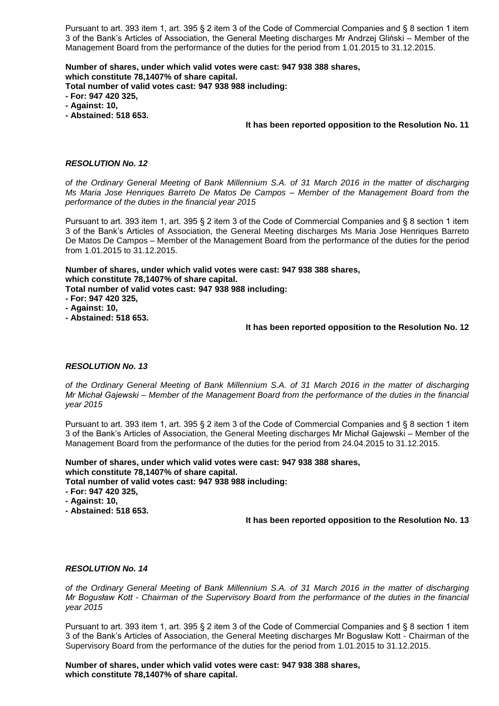Pursuant to art. 393 item 1, art. 395 § 2 item 3 of the Code of Commercial Companies and § 8 section 1 item 3 of the Bank's Articles of Association, the General Meeting discharges Mr Andrzej Gliński – Member of the Management Board from the performance of the duties for the period from 1.01.2015 to 31.12.2015.

**Number of shares, under which valid votes were cast: 947 938 388 shares, which constitute 78,1407% of share capital. Total number of valid votes cast: 947 938 988 including:**

- **- For: 947 420 325,**
- **- Against: 10,**
- **- Abstained: 518 653.**

### **It has been reported opposition to the Resolution No. 11**

## *RESOLUTION No. 12*

*of the Ordinary General Meeting of Bank Millennium S.A. of 31 March 2016 in the matter of discharging Ms Maria Jose Henriques Barreto De Matos De Campos – Member of the Management Board from the performance of the duties in the financial year 2015*

Pursuant to art. 393 item 1, art. 395 § 2 item 3 of the Code of Commercial Companies and § 8 section 1 item 3 of the Bank's Articles of Association, the General Meeting discharges Ms Maria Jose Henriques Barreto De Matos De Campos – Member of the Management Board from the performance of the duties for the period from 1.01.2015 to 31.12.2015.

### **Number of shares, under which valid votes were cast: 947 938 388 shares, which constitute 78,1407% of share capital.**

**Total number of valid votes cast: 947 938 988 including:**

- **- For: 947 420 325,**
- **- Against: 10,**
- **- Abstained: 518 653.**

## **It has been reported opposition to the Resolution No. 12**

## *RESOLUTION No. 13*

*of the Ordinary General Meeting of Bank Millennium S.A. of 31 March 2016 in the matter of discharging Mr Michał Gajewski – Member of the Management Board from the performance of the duties in the financial year 2015*

Pursuant to art. 393 item 1, art. 395 § 2 item 3 of the Code of Commercial Companies and § 8 section 1 item 3 of the Bank's Articles of Association, the General Meeting discharges Mr Michał Gajewski – Member of the Management Board from the performance of the duties for the period from 24.04.2015 to 31.12.2015.

**Number of shares, under which valid votes were cast: 947 938 388 shares, which constitute 78,1407% of share capital. Total number of valid votes cast: 947 938 988 including:**

- **- For: 947 420 325,**
- **- Against: 10,**
- **- Abstained: 518 653.**

**It has been reported opposition to the Resolution No. 13**

### *RESOLUTION No. 14*

*of the Ordinary General Meeting of Bank Millennium S.A. of 31 March 2016 in the matter of discharging Mr Bogusław Kott - Chairman of the Supervisory Board from the performance of the duties in the financial year 2015*

Pursuant to art. 393 item 1, art. 395 § 2 item 3 of the Code of Commercial Companies and § 8 section 1 item 3 of the Bank's Articles of Association, the General Meeting discharges Mr Bogusław Kott - Chairman of the Supervisory Board from the performance of the duties for the period from 1.01.2015 to 31.12.2015.

**Number of shares, under which valid votes were cast: 947 938 388 shares, which constitute 78,1407% of share capital.**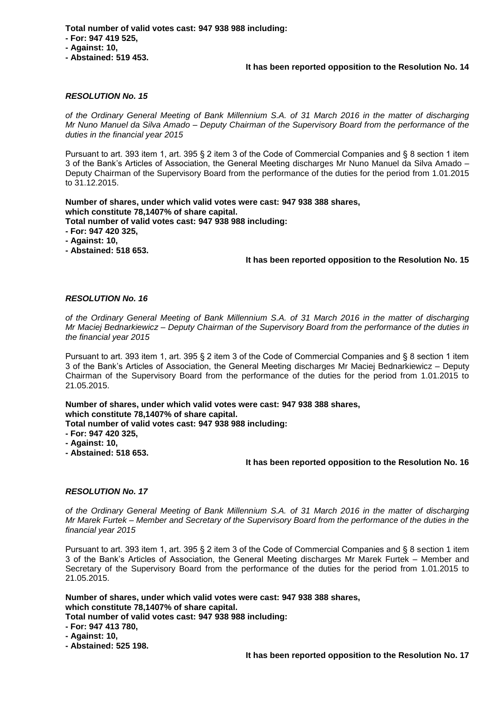**Total number of valid votes cast: 947 938 988 including:**

- **- For: 947 419 525,**
- **- Against: 10,**
- **- Abstained: 519 453.**

## **It has been reported opposition to the Resolution No. 14**

## *RESOLUTION No. 15*

*of the Ordinary General Meeting of Bank Millennium S.A. of 31 March 2016 in the matter of discharging Mr Nuno Manuel da Silva Amado – Deputy Chairman of the Supervisory Board from the performance of the duties in the financial year 2015*

Pursuant to art. 393 item 1, art. 395 § 2 item 3 of the Code of Commercial Companies and § 8 section 1 item 3 of the Bank's Articles of Association, the General Meeting discharges Mr Nuno Manuel da Silva Amado – Deputy Chairman of the Supervisory Board from the performance of the duties for the period from 1.01.2015 to 31.12.2015.

### **Number of shares, under which valid votes were cast: 947 938 388 shares, which constitute 78,1407% of share capital. Total number of valid votes cast: 947 938 988 including:**

- **- For: 947 420 325,**
- **- Against: 10,**
- **- Abstained: 518 653.**

# **It has been reported opposition to the Resolution No. 15**

## *RESOLUTION No. 16*

*of the Ordinary General Meeting of Bank Millennium S.A. of 31 March 2016 in the matter of discharging Mr Maciej Bednarkiewicz – Deputy Chairman of the Supervisory Board from the performance of the duties in the financial year 2015*

Pursuant to art. 393 item 1, art. 395 § 2 item 3 of the Code of Commercial Companies and § 8 section 1 item 3 of the Bank's Articles of Association, the General Meeting discharges Mr Maciej Bednarkiewicz – Deputy Chairman of the Supervisory Board from the performance of the duties for the period from 1.01.2015 to 21.05.2015.

**Number of shares, under which valid votes were cast: 947 938 388 shares, which constitute 78,1407% of share capital. Total number of valid votes cast: 947 938 988 including:**

- **- For: 947 420 325,**
- **- Against: 10,**
- **- Abstained: 518 653.**

## **It has been reported opposition to the Resolution No. 16**

## *RESOLUTION No. 17*

*of the Ordinary General Meeting of Bank Millennium S.A. of 31 March 2016 in the matter of discharging Mr Marek Furtek – Member and Secretary of the Supervisory Board from the performance of the duties in the financial year 2015*

Pursuant to art. 393 item 1, art. 395 § 2 item 3 of the Code of Commercial Companies and § 8 section 1 item 3 of the Bank's Articles of Association, the General Meeting discharges Mr Marek Furtek – Member and Secretary of the Supervisory Board from the performance of the duties for the period from 1.01.2015 to 21.05.2015.

**Number of shares, under which valid votes were cast: 947 938 388 shares, which constitute 78,1407% of share capital.**

**Total number of valid votes cast: 947 938 988 including:**

**- For: 947 413 780,**

**- Against: 10,**

**- Abstained: 525 198.**

**It has been reported opposition to the Resolution No. 17**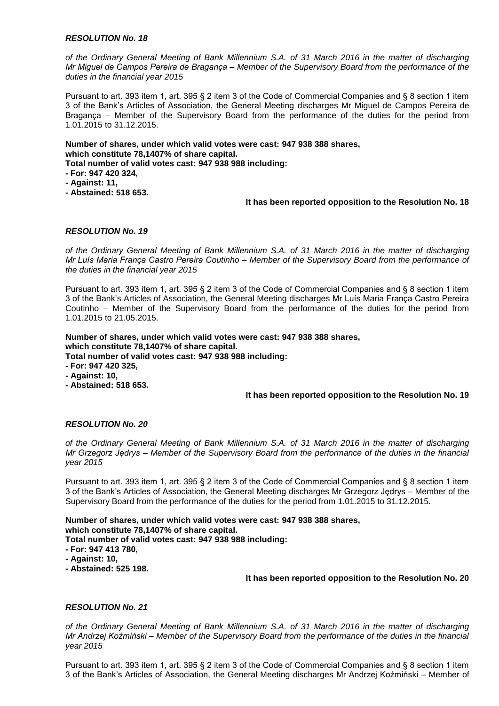*of the Ordinary General Meeting of Bank Millennium S.A. of 31 March 2016 in the matter of discharging Mr Miguel de Campos Pereira de Bragança – Member of the Supervisory Board from the performance of the duties in the financial year 2015*

Pursuant to art. 393 item 1, art. 395 § 2 item 3 of the Code of Commercial Companies and § 8 section 1 item 3 of the Bank's Articles of Association, the General Meeting discharges Mr Miguel de Campos Pereira de Bragança – Member of the Supervisory Board from the performance of the duties for the period from 1.01.2015 to 31.12.2015.

## **Number of shares, under which valid votes were cast: 947 938 388 shares, which constitute 78,1407% of share capital.**

**Total number of valid votes cast: 947 938 988 including:**

**- For: 947 420 324,**

- **- Against: 11,**
- **- Abstained: 518 653.**

## **It has been reported opposition to the Resolution No. 18**

## *RESOLUTION No. 19*

*of the Ordinary General Meeting of Bank Millennium S.A. of 31 March 2016 in the matter of discharging Mr Luís Maria França Castro Pereira Coutinho – Member of the Supervisory Board from the performance of the duties in the financial year 2015*

Pursuant to art. 393 item 1, art. 395 § 2 item 3 of the Code of Commercial Companies and § 8 section 1 item 3 of the Bank's Articles of Association, the General Meeting discharges Mr Luís Maria França Castro Pereira Coutinho – Member of the Supervisory Board from the performance of the duties for the period from 1.01.2015 to 21.05.2015.

# **Number of shares, under which valid votes were cast: 947 938 388 shares, which constitute 78,1407% of share capital.**

**Total number of valid votes cast: 947 938 988 including:**

**- For: 947 420 325,**

- **- Against: 10,**
- **- Abstained: 518 653.**

## **It has been reported opposition to the Resolution No. 19**

# *RESOLUTION No. 20*

*of the Ordinary General Meeting of Bank Millennium S.A. of 31 March 2016 in the matter of discharging Mr Grzegorz Jędrys – Member of the Supervisory Board from the performance of the duties in the financial year 2015*

Pursuant to art. 393 item 1, art. 395 § 2 item 3 of the Code of Commercial Companies and § 8 section 1 item 3 of the Bank's Articles of Association, the General Meeting discharges Mr Grzegorz Jędrys – Member of the Supervisory Board from the performance of the duties for the period from 1.01.2015 to 31.12.2015.

**Number of shares, under which valid votes were cast: 947 938 388 shares, which constitute 78,1407% of share capital.**

**Total number of valid votes cast: 947 938 988 including:**

- **- For: 947 413 780,**
- **- Against: 10,**
- **- Abstained: 525 198.**

## **It has been reported opposition to the Resolution No. 20**

## *RESOLUTION No. 21*

*of the Ordinary General Meeting of Bank Millennium S.A. of 31 March 2016 in the matter of discharging Mr Andrzej Koźmiński – Member of the Supervisory Board from the performance of the duties in the financial year 2015*

Pursuant to art. 393 item 1, art. 395 § 2 item 3 of the Code of Commercial Companies and § 8 section 1 item 3 of the Bank's Articles of Association, the General Meeting discharges Mr Andrzej Koźmiński – Member of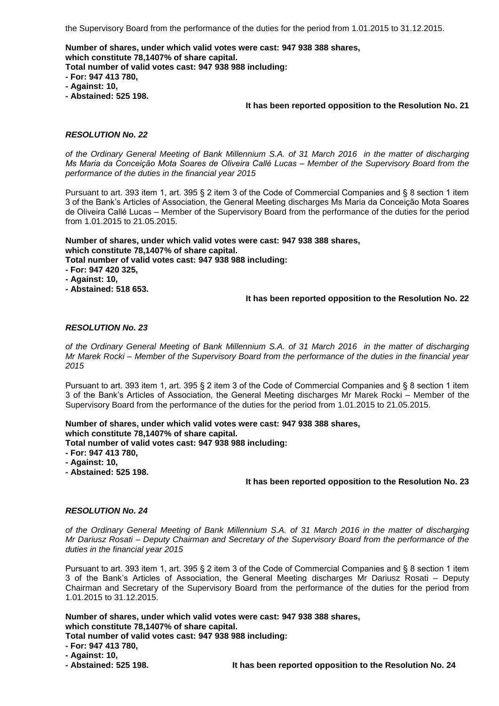the Supervisory Board from the performance of the duties for the period from 1.01.2015 to 31.12.2015.

**Number of shares, under which valid votes were cast: 947 938 388 shares, which constitute 78,1407% of share capital.**

**Total number of valid votes cast: 947 938 988 including:**

- **- For: 947 413 780,**
- **- Against: 10,**
- **- Abstained: 525 198.**

## **It has been reported opposition to the Resolution No. 21**

## *RESOLUTION No. 22*

*of the Ordinary General Meeting of Bank Millennium S.A. of 31 March 2016 in the matter of discharging Ms Maria da Conceição Mota Soares de Oliveira Callé Lucas – Member of the Supervisory Board from the performance of the duties in the financial year 2015*

Pursuant to art. 393 item 1, art. 395 § 2 item 3 of the Code of Commercial Companies and § 8 section 1 item 3 of the Bank's Articles of Association, the General Meeting discharges Ms Maria da Conceição Mota Soares de Oliveira Callé Lucas – Member of the Supervisory Board from the performance of the duties for the period from 1.01.2015 to 21.05.2015.

**Number of shares, under which valid votes were cast: 947 938 388 shares, which constitute 78,1407% of share capital.**

**Total number of valid votes cast: 947 938 988 including:**

- **- For: 947 420 325,**
- **- Against: 10,**
- **- Abstained: 518 653.**

## **It has been reported opposition to the Resolution No. 22**

## *RESOLUTION No. 23*

*of the Ordinary General Meeting of Bank Millennium S.A. of 31 March 2016 in the matter of discharging Mr Marek Rocki – Member of the Supervisory Board from the performance of the duties in the financial year 2015*

Pursuant to art. 393 item 1, art. 395 § 2 item 3 of the Code of Commercial Companies and § 8 section 1 item 3 of the Bank's Articles of Association, the General Meeting discharges Mr Marek Rocki – Member of the Supervisory Board from the performance of the duties for the period from 1.01.2015 to 21.05.2015.

**Number of shares, under which valid votes were cast: 947 938 388 shares, which constitute 78,1407% of share capital.**

**Total number of valid votes cast: 947 938 988 including:**

- **- For: 947 413 780,**
- **- Against: 10,**
- **- Abstained: 525 198.**

## **It has been reported opposition to the Resolution No. 23**

## *RESOLUTION No. 24*

*of the Ordinary General Meeting of Bank Millennium S.A. of 31 March 2016 in the matter of discharging Mr Dariusz Rosati – Deputy Chairman and Secretary of the Supervisory Board from the performance of the duties in the financial year 2015*

Pursuant to art. 393 item 1, art. 395 § 2 item 3 of the Code of Commercial Companies and § 8 section 1 item 3 of the Bank's Articles of Association, the General Meeting discharges Mr Dariusz Rosati – Deputy Chairman and Secretary of the Supervisory Board from the performance of the duties for the period from 1.01.2015 to 31.12.2015.

**Number of shares, under which valid votes were cast: 947 938 388 shares, which constitute 78,1407% of share capital.**

**Total number of valid votes cast: 947 938 988 including:**

**- For: 947 413 780,**

**- Against: 10,**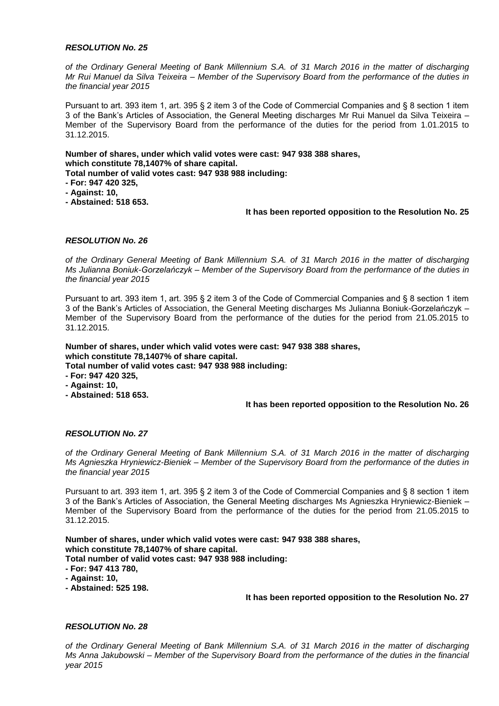*of the Ordinary General Meeting of Bank Millennium S.A. of 31 March 2016 in the matter of discharging Mr Rui Manuel da Silva Teixeira – Member of the Supervisory Board from the performance of the duties in the financial year 2015*

Pursuant to art. 393 item 1, art. 395 § 2 item 3 of the Code of Commercial Companies and § 8 section 1 item 3 of the Bank's Articles of Association, the General Meeting discharges Mr Rui Manuel da Silva Teixeira – Member of the Supervisory Board from the performance of the duties for the period from 1.01.2015 to 31.12.2015.

**Number of shares, under which valid votes were cast: 947 938 388 shares, which constitute 78,1407% of share capital.**

**Total number of valid votes cast: 947 938 988 including:**

- **- For: 947 420 325,**
- **- Against: 10,**
- **- Abstained: 518 653.**

## **It has been reported opposition to the Resolution No. 25**

## *RESOLUTION No. 26*

*of the Ordinary General Meeting of Bank Millennium S.A. of 31 March 2016 in the matter of discharging Ms Julianna Boniuk-Gorzelańczyk – Member of the Supervisory Board from the performance of the duties in the financial year 2015*

Pursuant to art. 393 item 1, art. 395 § 2 item 3 of the Code of Commercial Companies and § 8 section 1 item 3 of the Bank's Articles of Association, the General Meeting discharges Ms Julianna Boniuk-Gorzelańczyk – Member of the Supervisory Board from the performance of the duties for the period from 21.05.2015 to 31.12.2015.

# **Number of shares, under which valid votes were cast: 947 938 388 shares, which constitute 78,1407% of share capital.**

**Total number of valid votes cast: 947 938 988 including:**

- **- For: 947 420 325,**
- **- Against: 10,**
- **- Abstained: 518 653.**

# **It has been reported opposition to the Resolution No. 26**

# *RESOLUTION No. 27*

*of the Ordinary General Meeting of Bank Millennium S.A. of 31 March 2016 in the matter of discharging Ms Agnieszka Hryniewicz-Bieniek – Member of the Supervisory Board from the performance of the duties in the financial year 2015*

Pursuant to art. 393 item 1, art. 395 § 2 item 3 of the Code of Commercial Companies and § 8 section 1 item 3 of the Bank's Articles of Association, the General Meeting discharges Ms Agnieszka Hryniewicz-Bieniek – Member of the Supervisory Board from the performance of the duties for the period from 21.05.2015 to 31.12.2015.

**Number of shares, under which valid votes were cast: 947 938 388 shares, which constitute 78,1407% of share capital. Total number of valid votes cast: 947 938 988 including: - For: 947 413 780,**

- **- Against: 10,**
- **- Abstained: 525 198.**

## **It has been reported opposition to the Resolution No. 27**

## *RESOLUTION No. 28*

*of the Ordinary General Meeting of Bank Millennium S.A. of 31 March 2016 in the matter of discharging Ms Anna Jakubowski – Member of the Supervisory Board from the performance of the duties in the financial year 2015*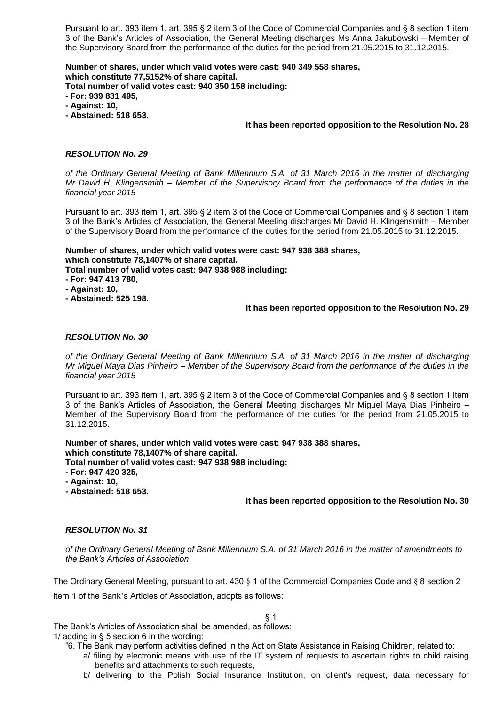Pursuant to art. 393 item 1, art. 395 § 2 item 3 of the Code of Commercial Companies and § 8 section 1 item 3 of the Bank's Articles of Association, the General Meeting discharges Ms Anna Jakubowski – Member of the Supervisory Board from the performance of the duties for the period from 21.05.2015 to 31.12.2015.

**Number of shares, under which valid votes were cast: 940 349 558 shares, which constitute 77,5152% of share capital.**

**Total number of valid votes cast: 940 350 158 including:**

- **- For: 939 831 495,**
- **- Against: 10,**
- **- Abstained: 518 653.**

## **It has been reported opposition to the Resolution No. 28**

## *RESOLUTION No. 29*

*of the Ordinary General Meeting of Bank Millennium S.A. of 31 March 2016 in the matter of discharging Mr David H. Klingensmith – Member of the Supervisory Board from the performance of the duties in the financial year 2015*

Pursuant to art. 393 item 1, art. 395 § 2 item 3 of the Code of Commercial Companies and § 8 section 1 item 3 of the Bank's Articles of Association, the General Meeting discharges Mr David H. Klingensmith – Member of the Supervisory Board from the performance of the duties for the period from 21.05.2015 to 31.12.2015.

**Number of shares, under which valid votes were cast: 947 938 388 shares, which constitute 78,1407% of share capital.**

**Total number of valid votes cast: 947 938 988 including:**

- **- For: 947 413 780,**
- **- Against: 10,**
- **- Abstained: 525 198.**

## **It has been reported opposition to the Resolution No. 29**

## *RESOLUTION No. 30*

*of the Ordinary General Meeting of Bank Millennium S.A. of 31 March 2016 in the matter of discharging Mr Miguel Maya Dias Pinheiro – Member of the Supervisory Board from the performance of the duties in the financial year 2015*

Pursuant to art. 393 item 1, art. 395 § 2 item 3 of the Code of Commercial Companies and § 8 section 1 item 3 of the Bank's Articles of Association, the General Meeting discharges Mr Miguel Maya Dias Pinheiro – Member of the Supervisory Board from the performance of the duties for the period from 21.05.2015 to 31.12.2015.

**Number of shares, under which valid votes were cast: 947 938 388 shares, which constitute 78,1407% of share capital.**

**Total number of valid votes cast: 947 938 988 including:**

- **- For: 947 420 325,**
- **- Against: 10,**

**- Abstained: 518 653.**

## **It has been reported opposition to the Resolution No. 30**

# *RESOLUTION No. 31*

*of the Ordinary General Meeting of Bank Millennium S.A. of 31 March 2016 in the matter of amendments to the Bank's Articles of Association*

The Ordinary General Meeting, pursuant to art. 430 § 1 of the Commercial Companies Code and § 8 section 2 item 1 of the Bank's Articles of Association, adopts as follows:

# § 1

The Bank's Articles of Association shall be amended, as follows: 1/ adding in § 5 section 6 in the wording:

- "6. The Bank may perform activities defined in the Act on State Assistance in Raising Children, related to:
	- a/ filing by electronic means with use of the IT system of requests to ascertain rights to child raising benefits and attachments to such requests,
	- b/ delivering to the Polish Social Insurance Institution, on client's request, data necessary for